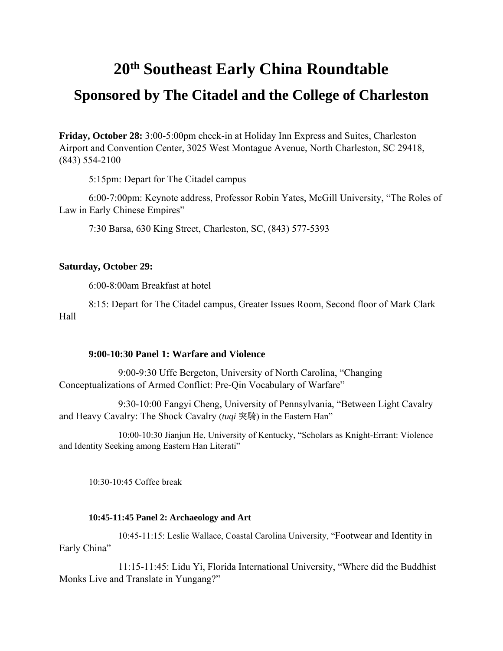# **20th Southeast Early China Roundtable**

## **Sponsored by The Citadel and the College of Charleston**

**Friday, October 28:** 3:00-5:00pm check-in at Holiday Inn Express and Suites, Charleston Airport and Convention Center, 3025 West Montague Avenue, North Charleston, SC 29418, (843) 554-2100

5:15pm: Depart for The Citadel campus

6:00-7:00pm: Keynote address, Professor Robin Yates, McGill University, "The Roles of Law in Early Chinese Empires"

7:30 Barsa, 630 King Street, Charleston, SC, (843) 577-5393

### **Saturday, October 29:**

6:00-8:00am Breakfast at hotel

8:15: Depart for The Citadel campus, Greater Issues Room, Second floor of Mark Clark Hall

### **9:00-10:30 Panel 1: Warfare and Violence**

 9:00-9:30 Uffe Bergeton, University of North Carolina, "Changing Conceptualizations of Armed Conflict: Pre-Qin Vocabulary of Warfare"

 9:30-10:00 Fangyi Cheng, University of Pennsylvania, "Between Light Cavalry and Heavy Cavalry: The Shock Cavalry (*tuqi* 突騎) in the Eastern Han"

 10:00-10:30 Jianjun He, University of Kentucky, "Scholars as Knight-Errant: Violence and Identity Seeking among Eastern Han Literati"

10:30-10:45 Coffee break

### **10:45-11:45 Panel 2: Archaeology and Art**

 10:45-11:15: Leslie Wallace, Coastal Carolina University, "Footwear and Identity in Early China"

 11:15-11:45: Lidu Yi, Florida International University, "Where did the Buddhist Monks Live and Translate in Yungang?"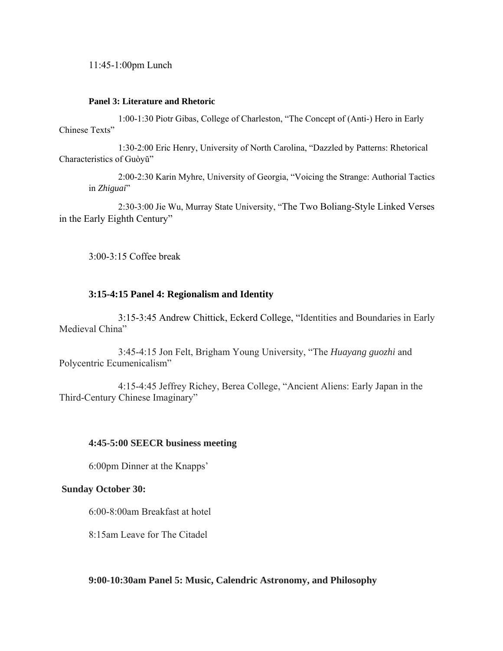11:45-1:00pm Lunch

### **Panel 3: Literature and Rhetoric**

 1:00-1:30 Piotr Gibas, College of Charleston, "The Concept of (Anti-) Hero in Early Chinese Texts"

 1:30-2:00 Eric Henry, University of North Carolina, "Dazzled by Patterns: Rhetorical Characteristics of Guòyŭ"

2:00-2:30 Karin Myhre, University of Georgia, "Voicing the Strange: Authorial Tactics in *Zhiguai*"

 2:30-3:00 Jie Wu, Murray State University, "The Two Boliang-Style Linked Verses in the Early Eighth Century"

3:00-3:15 Coffee break

## **3:15-4:15 Panel 4: Regionalism and Identity**

 3:15-3:45 Andrew Chittick, Eckerd College, "Identities and Boundaries in Early Medieval China"

 3:45-4:15 Jon Felt, Brigham Young University, "The *Huayang guozhi* and Polycentric Ecumenicalism"

 4:15-4:45 Jeffrey Richey, Berea College, "Ancient Aliens: Early Japan in the Third-Century Chinese Imaginary"

### **4:45-5:00 SEECR business meeting**

6:00pm Dinner at the Knapps'

## **Sunday October 30:**

6:00-8:00am Breakfast at hotel

8:15am Leave for The Citadel

**9:00-10:30am Panel 5: Music, Calendric Astronomy, and Philosophy**